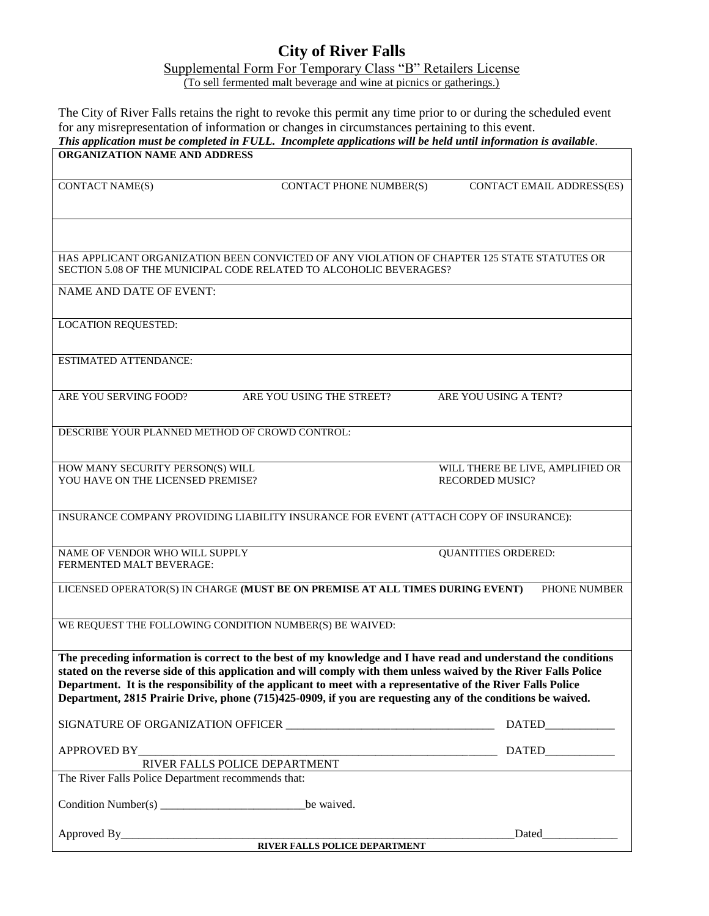## **City of River Falls**

Supplemental Form For Temporary Class "B" Retailers License

(To sell fermented malt beverage and wine at picnics or gatherings.)

The City of River Falls retains the right to revoke this permit any time prior to or during the scheduled event for any misrepresentation of information or changes in circumstances pertaining to this event. *This application must be completed in FULL. Incomplete applications will be held until information is available.*  **ORGANIZATION NAME AND ADDRESS** CONTACT NAME(S) CONTACT PHONE NUMBER(S) CONTACT EMAIL ADDRESS(ES) HAS APPLICANT ORGANIZATION BEEN CONVICTED OF ANY VIOLATION OF CHAPTER 125 STATE STATUTES OR SECTION 5.08 OF THE MUNICIPAL CODE RELATED TO ALCOHOLIC BEVERAGES? NAME AND DATE OF EVENT: LOCATION REQUESTED: ESTIMATED ATTENDANCE: ARE YOU SERVING FOOD? ARE YOU USING THE STREET? ARE YOU USING A TENT? DESCRIBE YOUR PLANNED METHOD OF CROWD CONTROL: HOW MANY SECURITY PERSON(S) WILL WILL THERE BE LIVE, AMPLIFIED OR YOU HAVE ON THE LICENSED PREMISE? RECORDED MUSIC? INSURANCE COMPANY PROVIDING LIABILITY INSURANCE FOR EVENT (ATTACH COPY OF INSURANCE): NAME OF VENDOR WHO WILL SUPPLY QUANTITIES ORDERED: FERMENTED MALT BEVERAGE: LICENSED OPERATOR(S) IN CHARGE **(MUST BE ON PREMISE AT ALL TIMES DURING EVENT)** PHONE NUMBER WE REQUEST THE FOLLOWING CONDITION NUMBER(S) BE WAIVED: **The preceding information is correct to the best of my knowledge and I have read and understand the conditions stated on the reverse side of this application and will comply with them unless waived by the River Falls Police Department. It is the responsibility of the applicant to meet with a representative of the River Falls Police Department, 2815 Prairie Drive, phone (715)425-0909, if you are requesting any of the conditions be waived.**  SIGNATURE OF ORGANIZATION OFFICER \_\_\_\_\_\_\_\_\_\_\_\_\_\_\_\_\_\_\_\_\_\_\_\_\_\_\_\_\_\_\_\_\_\_\_\_ DATED\_\_\_\_\_\_\_\_\_\_\_\_ APPROVED BY\_\_\_\_\_\_\_\_\_\_\_\_\_\_\_\_\_\_\_\_\_\_\_\_\_\_\_\_\_\_\_\_\_\_\_\_\_\_\_\_\_\_\_\_\_\_\_\_\_\_\_\_\_\_\_\_\_\_\_\_\_\_ DATED\_\_\_\_\_\_\_\_\_\_\_\_ RIVER FALLS POLICE DEPARTMENT The River Falls Police Department recommends that: Condition Number(s) \_\_\_\_\_\_\_\_\_\_\_\_\_\_\_\_\_\_\_\_\_\_\_\_\_be waived. Approved By\_\_\_\_\_\_\_\_\_\_\_\_\_\_\_\_\_\_\_\_\_\_\_\_\_\_\_\_\_\_\_\_\_\_\_\_\_\_\_\_\_\_\_\_\_\_\_\_\_\_\_\_\_\_\_\_\_\_\_\_\_\_\_\_\_\_\_\_Dated\_\_\_\_\_\_\_\_\_\_\_\_\_ **RIVER FALLS POLICE DEPARTMENT**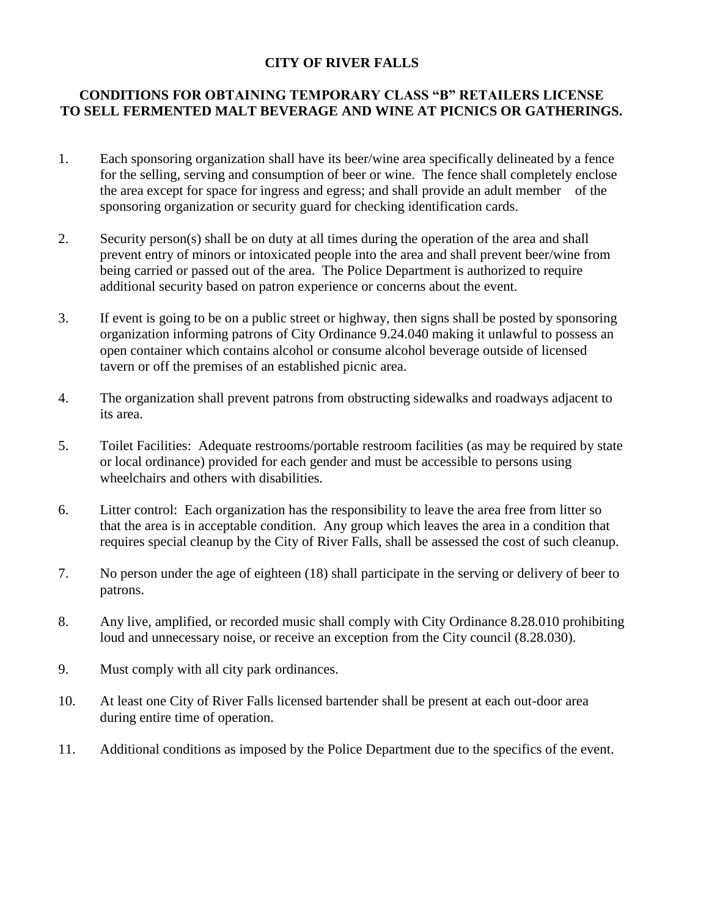## **CITY OF RIVER FALLS**

## **CONDITIONS FOR OBTAINING TEMPORARY CLASS "B" RETAILERS LICENSE TO SELL FERMENTED MALT BEVERAGE AND WINE AT PICNICS OR GATHERINGS.**

- 1. Each sponsoring organization shall have its beer/wine area specifically delineated by a fence for the selling, serving and consumption of beer or wine. The fence shall completely enclose the area except for space for ingress and egress; and shall provide an adult member of the sponsoring organization or security guard for checking identification cards.
- 2. Security person(s) shall be on duty at all times during the operation of the area and shall prevent entry of minors or intoxicated people into the area and shall prevent beer/wine from being carried or passed out of the area. The Police Department is authorized to require additional security based on patron experience or concerns about the event.
- 3. If event is going to be on a public street or highway, then signs shall be posted by sponsoring organization informing patrons of City Ordinance 9.24.040 making it unlawful to possess an open container which contains alcohol or consume alcohol beverage outside of licensed tavern or off the premises of an established picnic area.
- 4. The organization shall prevent patrons from obstructing sidewalks and roadways adjacent to its area.
- 5. Toilet Facilities: Adequate restrooms/portable restroom facilities (as may be required by state or local ordinance) provided for each gender and must be accessible to persons using wheelchairs and others with disabilities.
- 6. Litter control: Each organization has the responsibility to leave the area free from litter so that the area is in acceptable condition. Any group which leaves the area in a condition that requires special cleanup by the City of River Falls, shall be assessed the cost of such cleanup.
- 7. No person under the age of eighteen (18) shall participate in the serving or delivery of beer to patrons.
- 8. Any live, amplified, or recorded music shall comply with City Ordinance 8.28.010 prohibiting loud and unnecessary noise, or receive an exception from the City council (8.28.030).
- 9. Must comply with all city park ordinances.
- 10. At least one City of River Falls licensed bartender shall be present at each out-door area during entire time of operation.
- 11. Additional conditions as imposed by the Police Department due to the specifics of the event.